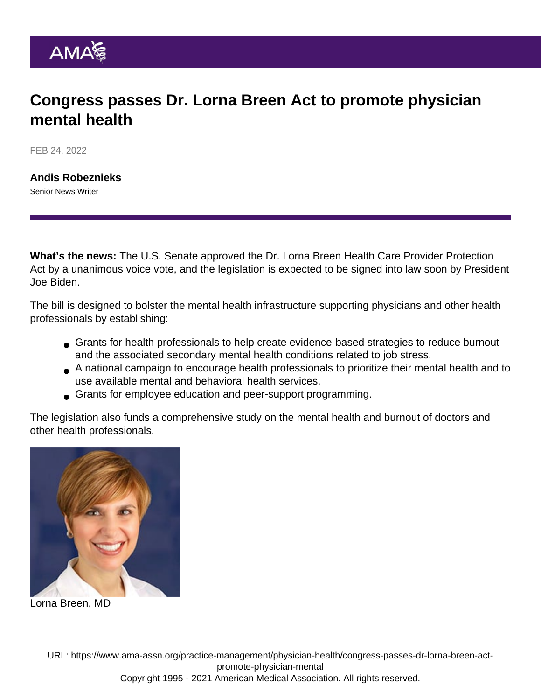## Congress passes Dr. Lorna Breen Act to promote physician mental health

FEB 24, 2022

[Andis Robeznieks](https://www.ama-assn.org/news-leadership-viewpoints/authors-news-leadership-viewpoints/andis-robeznieks) Senior News Writer

What's the news: The U.S. Senate approved the [Dr. Lorna Breen Health Care Provider Protection](https://www.congress.gov/bill/117th-congress/house-bill/1667) [Act](https://www.congress.gov/bill/117th-congress/house-bill/1667) by a unanimous voice vote, and the legislation is expected to be signed into law soon by President Joe Biden.

The bill is designed to bolster the mental health infrastructure supporting physicians and other health professionals by establishing:

- Grants for health professionals to help create evidence-based strategies to reduce burnout and the associated secondary mental health conditions related to job stress.
- A national campaign to encourage health professionals to prioritize their mental health and to use available mental and behavioral health services.
- Grants for employee education and peer-support programming.

The legislation also funds a comprehensive study on the mental health and burnout of doctors and other health professionals.

Lorna Breen, MD

URL: [https://www.ama-assn.org/practice-management/physician-health/congress-passes-dr-lorna-breen-act](https://www.ama-assn.org/practice-management/physician-health/congress-passes-dr-lorna-breen-act-promote-physician-mental)[promote-physician-mental](https://www.ama-assn.org/practice-management/physician-health/congress-passes-dr-lorna-breen-act-promote-physician-mental) Copyright 1995 - 2021 American Medical Association. All rights reserved.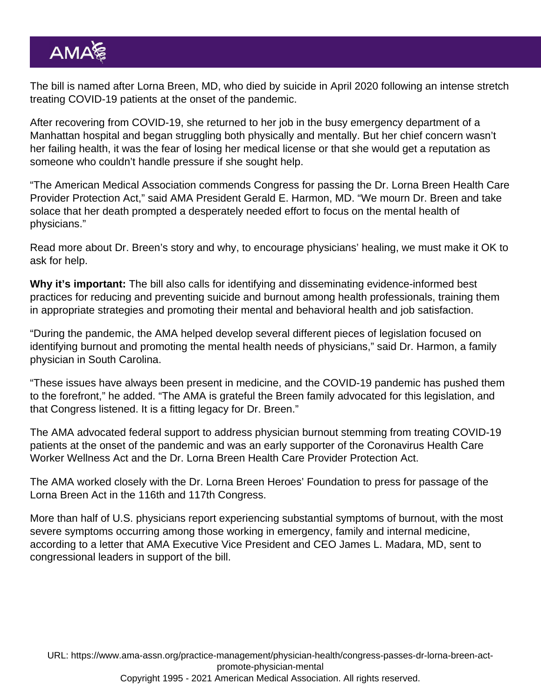The bill is named after Lorna Breen, MD, who died by suicide in April 2020 following an intense stretch treating COVID-19 patients at the onset of the pandemic.

After recovering from COVID-19, she returned to her job in the busy emergency department of a Manhattan hospital and began struggling both physically and mentally. But her chief concern wasn't her failing health, it was the fear of losing her medical license or that she would get a reputation as someone who couldn't handle pressure if she sought help.

"The American Medical Association commends Congress for passing the Dr. Lorna Breen Health Care Provider Protection Act," said AMA President [Gerald E. Harmon, MD](https://www.ama-assn.org/about/board-trustees/gerald-e-harmon-md). "We mourn Dr. Breen and take solace that her death prompted a desperately needed effort to focus on the mental health of physicians."

Read more about Dr. Breen's story and why, to [encourage physicians' healing, we must make it OK to](https://www.ama-assn.org/practice-management/physician-health/encourage-physicians-healing-make-it-ok-ask-help) [ask for help](https://www.ama-assn.org/practice-management/physician-health/encourage-physicians-healing-make-it-ok-ask-help).

Why it's important: The bill also calls for identifying and disseminating evidence-informed best practices for reducing and preventing suicide and burnout among health professionals, training them in appropriate strategies and promoting their mental and behavioral health and job satisfaction.

"During the pandemic, the AMA helped develop several different pieces of legislation focused on [identifying burnout](https://www.ama-assn.org/topics/physician-burnout) and promoting the [mental health needs o](https://www.ama-assn.org/topics/physician-well-being)f physicians," said Dr. Harmon, a family physician in South Carolina.

"These issues have always been present in medicine, and the COVID-19 pandemic has pushed them to the forefront," he added. "The AMA is grateful the Breen family advocated for this legislation, and that Congress listened. It is a fitting legacy for Dr. Breen."

The AMA advocated federal support to address physician burnout stemming from treating COVID-19 patients at the onset of the pandemic and was an early supporter of the Coronavirus Health Care Worker Wellness Act and the Dr. Lorna Breen Health Care Provider Protection Act.

The AMA worked closely with the Dr. Lorna Breen Heroes' Foundation to press for passage of the Lorna Breen Act in the 116th and 117th Congress.

More than half of U.S. physicians report experiencing substantial symptoms of burnout, with the most severe symptoms occurring among those working in emergency, family and internal medicine, according to [a letter](https://searchlf.ama-assn.org/letter/documentDownload?uri=/unstructured/binary/letter/LETTERS/2020-8-27-Letter-to-Rose-and-McKinley-re-HR-8094-Lorna-Breen-Act.pdf) that AMA Executive Vice President and CEO [James L. Madara, MD](https://www.ama-assn.org/news-leadership-viewpoints/authors-news-leadership-viewpoints/james-l-madara-md), sent to congressional leaders in support of the bill.

URL: [https://www.ama-assn.org/practice-management/physician-health/congress-passes-dr-lorna-breen-act](https://www.ama-assn.org/practice-management/physician-health/congress-passes-dr-lorna-breen-act-promote-physician-mental)[promote-physician-mental](https://www.ama-assn.org/practice-management/physician-health/congress-passes-dr-lorna-breen-act-promote-physician-mental) Copyright 1995 - 2021 American Medical Association. All rights reserved.